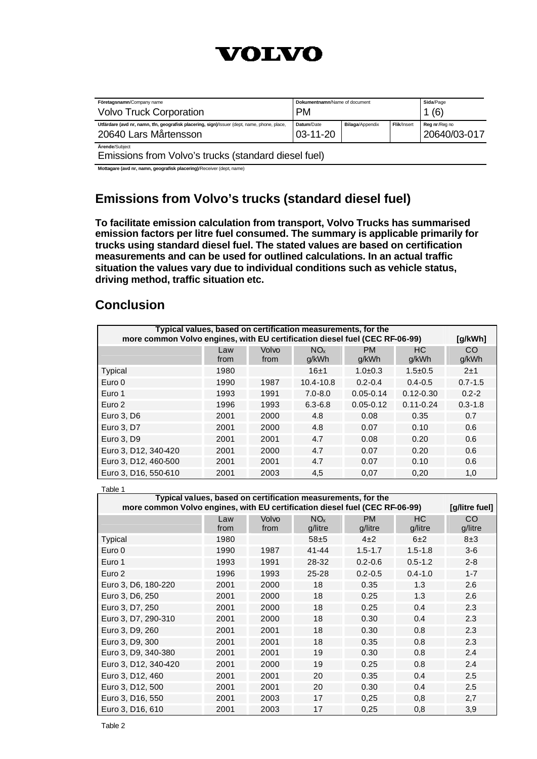

| Företagsnamn/Company name<br><b>Volvo Truck Corporation</b>                                                          | Dokumentnamn/Name of document<br><b>PM</b>                                             |  | Sida/Page<br>(6) |  |
|----------------------------------------------------------------------------------------------------------------------|----------------------------------------------------------------------------------------|--|------------------|--|
| Utfärdare (avd nr, namn, tfn, geografisk placering, sign)/Issuer (dept, name, phone, place,<br>20640 Lars Mårtensson | Flik/Insert<br><b>Bilaga/Appendix</b><br>Datum/Date<br>Reg nr/Reg no<br>$03 - 11 - 20$ |  | 20640/03-017     |  |
| Ärende/Subiect<br>Emissions from <i>Volvo's trucks (standard digsel fuel)</i>                                        |                                                                                        |  |                  |  |

Emissions from Volvo's trucks (standard diesel fuel) **Mottagare (avd nr, namn, geografisk placering)**/Receiver (dept, name)

# **Emissions from Volvo's trucks (standard diesel fuel)**

**To facilitate emission calculation from transport, Volvo Trucks has summarised emission factors per litre fuel consumed. The summary is applicable primarily for trucks using standard diesel fuel. The stated values are based on certification measurements and can be used for outlined calculations. In an actual traffic situation the values vary due to individual conditions such as vehicle status, driving method, traffic situation etc.**

# **Conclusion**

| Typical values, based on certification measurements, for the<br>more common Volvo engines, with EU certification diesel fuel (CEC RF-06-99) |             |               |                          |                    |               | [q/kWh]     |
|---------------------------------------------------------------------------------------------------------------------------------------------|-------------|---------------|--------------------------|--------------------|---------------|-------------|
|                                                                                                                                             | Law<br>from | Volvo<br>from | NO <sub>x</sub><br>g/kWh | <b>PM</b><br>g/kWh | HC.<br>g/kWh  | CO<br>g/kWh |
| Typical                                                                                                                                     | 1980        |               | 16±1                     | $1.0 + 0.3$        | $1.5 \pm 0.5$ | 2±1         |
| Euro 0                                                                                                                                      | 1990        | 1987          | $10.4 - 10.8$            | $0.2 - 0.4$        | $0.4 - 0.5$   | $0.7 - 1.5$ |
| Euro 1                                                                                                                                      | 1993        | 1991          | $7.0 - 8.0$              | $0.05 - 0.14$      | $0.12 - 0.30$ | $0.2 - 2$   |
| Euro 2                                                                                                                                      | 1996        | 1993          | $6.3 - 6.8$              | $0.05 - 0.12$      | $0.11 - 0.24$ | $0.3 - 1.8$ |
| Euro 3, D6                                                                                                                                  | 2001        | 2000          | 4.8                      | 0.08               | 0.35          | 0.7         |
| Euro 3, D7                                                                                                                                  | 2001        | 2000          | 4.8                      | 0.07               | 0.10          | 0.6         |
| Euro 3, D9                                                                                                                                  | 2001        | 2001          | 4.7                      | 0.08               | 0.20          | 0.6         |
| Euro 3, D12, 340-420                                                                                                                        | 2001        | 2000          | 4.7                      | 0.07               | 0.20          | 0.6         |
| Euro 3, D12, 460-500                                                                                                                        | 2001        | 2001          | 4.7                      | 0.07               | 0.10          | 0.6         |
| Euro 3, D16, 550-610                                                                                                                        | 2001        | 2003          | 4,5                      | 0,07               | 0,20          | 1,0         |

| Table 1                                                                                                                                     |      |       |                 |             |             |                |
|---------------------------------------------------------------------------------------------------------------------------------------------|------|-------|-----------------|-------------|-------------|----------------|
| Typical values, based on certification measurements, for the<br>more common Volvo engines, with EU certification diesel fuel (CEC RF-06-99) |      |       |                 |             |             | [g/litre fuel] |
|                                                                                                                                             |      |       |                 |             |             |                |
|                                                                                                                                             | Law  | Volvo | NO <sub>x</sub> | <b>PM</b>   | НC          | CO             |
|                                                                                                                                             | from | from  | g/litre         | g/litre     | g/litre     | g/litre        |
| Typical                                                                                                                                     | 1980 |       | $58 + 5$        | $4\pm 2$    | 6±2         | 8±3            |
| Euro 0                                                                                                                                      | 1990 | 1987  | $41 - 44$       | $1.5 - 1.7$ | $1.5 - 1.8$ | $3-6$          |
| Euro 1                                                                                                                                      | 1993 | 1991  | 28-32           | $0.2 - 0.6$ | $0.5 - 1.2$ | $2 - 8$        |
| Euro <sub>2</sub>                                                                                                                           | 1996 | 1993  | $25 - 28$       | $0.2 - 0.5$ | $0.4 - 1.0$ | $1 - 7$        |
| Euro 3, D6, 180-220                                                                                                                         | 2001 | 2000  | 18              | 0.35        | 1.3         | 2.6            |
| Euro 3, D6, 250                                                                                                                             | 2001 | 2000  | 18              | 0.25        | 1.3         | 2.6            |
| Euro 3, D7, 250                                                                                                                             | 2001 | 2000  | 18              | 0.25        | 0.4         | 2.3            |
| Euro 3, D7, 290-310                                                                                                                         | 2001 | 2000  | 18              | 0.30        | 0.4         | 2.3            |
| Euro 3, D9, 260                                                                                                                             | 2001 | 2001  | 18              | 0.30        | 0.8         | 2.3            |
| Euro 3, D9, 300                                                                                                                             | 2001 | 2001  | 18              | 0.35        | 0.8         | 2.3            |
| Euro 3, D9, 340-380                                                                                                                         | 2001 | 2001  | 19              | 0.30        | 0.8         | 2.4            |
| Euro 3, D12, 340-420                                                                                                                        | 2001 | 2000  | 19              | 0.25        | 0.8         | 2.4            |
| Euro 3, D12, 460                                                                                                                            | 2001 | 2001  | 20              | 0.35        | 0.4         | 2.5            |
| Euro 3, D12, 500                                                                                                                            | 2001 | 2001  | 20              | 0.30        | 0.4         | 2.5            |
| Euro 3, D16, 550                                                                                                                            | 2001 | 2003  | 17              | 0,25        | 0,8         | 2,7            |
| Euro 3, D16, 610                                                                                                                            | 2001 | 2003  | 17              | 0,25        | 0,8         | 3,9            |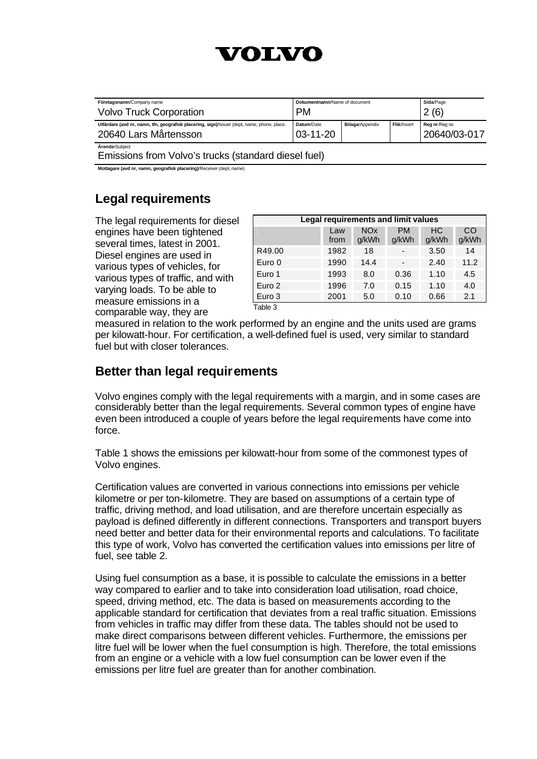# VOIRVO

| Företagsnamn/Company name<br><b>Volvo Truck Corporation</b>                                                          | Dokumentnamn/Name of document<br><b>PM</b> |                        |             | Sida/Page<br>2(6)             |
|----------------------------------------------------------------------------------------------------------------------|--------------------------------------------|------------------------|-------------|-------------------------------|
| Utfärdare (avd nr, namn, tfn, geografisk placering, sign)/Issuer (dept, name, phone, place,<br>20640 Lars Mårtensson | Datum/Date<br>$03 - 11 - 20$               | <b>Bilaga/Appendix</b> | Flik/Insert | Reg nr/Reg no<br>20640/03-017 |
| Ärende/Subiect                                                                                                       |                                            |                        |             |                               |

Emissions from Volvo's trucks (standard diesel fuel)

**Mottagare (avd nr, namn, geografisk placering)**/Receiver (dept, name)

# **Legal requirements**

The legal requirements for diesel engines have been tightened several times, latest in 2001. Diesel engines are used in various types of vehicles, for various types of traffic, and with varying loads. To be able to measure emissions in a comparable way, they are

| Legal requirements and limit values |             |                                |                          |             |             |  |
|-------------------------------------|-------------|--------------------------------|--------------------------|-------------|-------------|--|
|                                     | Law<br>from | <b>NO<sub>x</sub></b><br>g/kWh | <b>PM</b><br>g/kWh       | НC<br>g/kWh | CO<br>g/kWh |  |
| R49.00                              | 1982        | 18                             | -                        | 3.50        | 14          |  |
| Euro 0                              | 1990        | 14.4                           | $\overline{\phantom{0}}$ | 2.40        | 11.2        |  |
| Euro 1                              | 1993        | 8.0                            | 0.36                     | 1.10        | 4.5         |  |
| Euro 2                              | 1996        | 7.0                            | 0.15                     | 1.10        | 4.0         |  |
| Euro 3                              | 2001        | 5.0                            | 0.10                     | 0.66        | 2.1         |  |

Table 3

measured in relation to the work performed by an engine and the units used are grams per kilowatt-hour. For certification, a well-defined fuel is used, very similar to standard fuel but with closer tolerances.

### **Better than legal requirements**

Volvo engines comply with the legal requirements with a margin, and in some cases are considerably better than the legal requirements. Several common types of engine have even been introduced a couple of years before the legal requirements have come into force.

Table 1 shows the emissions per kilowatt-hour from some of the commonest types of Volvo engines.

Certification values are converted in various connections into emissions per vehicle kilometre or per ton-kilometre. They are based on assumptions of a certain type of traffic, driving method, and load utilisation, and are therefore uncertain especially as payload is defined differently in different connections. Transporters and transport buyers need better and better data for their environmental reports and calculations. To facilitate this type of work, Volvo has converted the certification values into emissions per litre of fuel, see table 2.

Using fuel consumption as a base, it is possible to calculate the emissions in a better way compared to earlier and to take into consideration load utilisation, road choice, speed, driving method, etc. The data is based on measurements according to the applicable standard for certification that deviates from a real traffic situation. Emissions from vehicles in traffic may differ from these data. The tables should not be used to make direct comparisons between different vehicles. Furthermore, the emissions per litre fuel will be lower when the fuel consumption is high. Therefore, the total emissions from an engine or a vehicle with a low fuel consumption can be lower even if the emissions per litre fuel are greater than for another combination.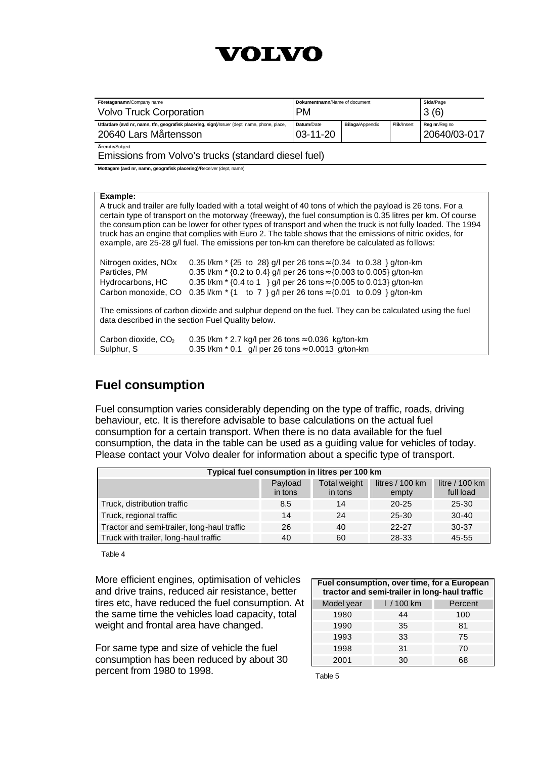

| Företagsnamn/Company name<br><b>Volvo Truck Corporation</b>                                                          | Dokumentnamn/Name of document<br><b>PM</b> |                        | Sida/Page<br>3(6) |                               |
|----------------------------------------------------------------------------------------------------------------------|--------------------------------------------|------------------------|-------------------|-------------------------------|
| Utfärdare (avd nr, namn, tfn, geografisk placering, sign)/Issuer (dept, name, phone, place,<br>20640 Lars Mårtensson | Datum/Date<br>$03 - 11 - 20$               | <b>Bilaga/Appendix</b> | Flik/Insert       | Reg nr/Reg no<br>20640/03-017 |
| Ärende/Subiect                                                                                                       |                                            |                        |                   |                               |

Emissions from Volvo's trucks (standard diesel fuel)

**Mottagare (avd nr, namn, geografisk placering)**/Receiver (dept, name)

#### **Example:**

A truck and trailer are fully loaded with a total weight of 40 tons of which the payload is 26 tons. For a certain type of transport on the motorway (freeway), the fuel consumption is 0.35 litres per km. Of course the consum ption can be lower for other types of transport and when the truck is not fully loaded. The 1994 truck has an engine that complies with Euro 2. The table shows that the emissions of nitric oxides, for example, are 25-28 g/l fuel. The emissions per ton-km can therefore be calculated as follows:

| Nitrogen oxides, NO <sub>x</sub> | 0.35 l/km $*$ {25 to 28} g/l per 26 tons $\approx$ {0.34 to 0.38 } g/ton-km                           |
|----------------------------------|-------------------------------------------------------------------------------------------------------|
| Particles, PM                    | 0.35 l/km $*$ {0.2 to 0.4} g/l per 26 tons $\approx$ {0.003 to 0.005} g/ton-km                        |
| Hydrocarbons, HC                 | 0.35 l/km $*$ {0.4 to 1 } g/l per 26 tons $\approx$ {0.005 to 0.013} g/ton-km                         |
|                                  | Carbon monoxide, CO 0.35 I/km $*(1 \text{ to } 7)$ g/l per 26 tons $\approx$ {0.01 to 0.09 } g/ton-km |

The emissions of carbon dioxide and sulphur depend on the fuel. They can be calculated using the fuel data described in the section Fuel Quality below.

| Carbon dioxide, $CO2$ | 0.35 l/km $*$ 2.7 kg/l per 26 tons ≈ 0.036 kg/ton-km        |
|-----------------------|-------------------------------------------------------------|
| Sulphur, S            | 0.35 l/km $*$ 0.1 g/l per 26 tons $\approx$ 0.0013 g/ton-km |

### **Fuel consumption**

Fuel consumption varies considerably depending on the type of traffic, roads, driving behaviour, etc. It is therefore advisable to base calculations on the actual fuel consumption for a certain transport. When there is no data available for the fuel consumption, the data in the table can be used as a guiding value for vehicles of today. Please contact your Volvo dealer for information about a specific type of transport.

| Typical fuel consumption in litres per 100 km |                    |                         |                            |                              |  |  |
|-----------------------------------------------|--------------------|-------------------------|----------------------------|------------------------------|--|--|
|                                               | Payload<br>in tons | Total weight<br>in tons | litres $/ 100$ km<br>empty | litre $/100$ km<br>full load |  |  |
| Truck, distribution traffic                   | 8.5                | 14                      | $20 - 25$                  | 25-30                        |  |  |
| Truck, regional traffic                       | 14                 | 24                      | 25-30                      | $30-40$                      |  |  |
| Tractor and semi-trailer, long-haul traffic   | 26                 | 40                      | 22-27                      | 30-37                        |  |  |
| Truck with trailer, long-haul traffic         | 40                 | 60                      | 28-33                      | 45-55                        |  |  |

Table 4

More efficient engines, optimisation of vehicles and drive trains, reduced air resistance, better tires etc, have reduced the fuel consumption. At the same time the vehicles load capacity, total weight and frontal area have changed.

For same type and size of vehicle the fuel consumption has been reduced by about 30 percent from 1980 to 1998.

| Fuel consumption, over time, for a European<br>tractor and semi-trailer in long-haul traffic |            |         |  |  |  |
|----------------------------------------------------------------------------------------------|------------|---------|--|--|--|
| Model year                                                                                   | $1/100$ km | Percent |  |  |  |
| 1980                                                                                         | 44         | 100     |  |  |  |
| 1990                                                                                         | 35         | 81      |  |  |  |
| 1993                                                                                         | 33         | 75      |  |  |  |
| 1998                                                                                         | 31         | 70      |  |  |  |
| 2001                                                                                         | 30         | 68      |  |  |  |

Table 5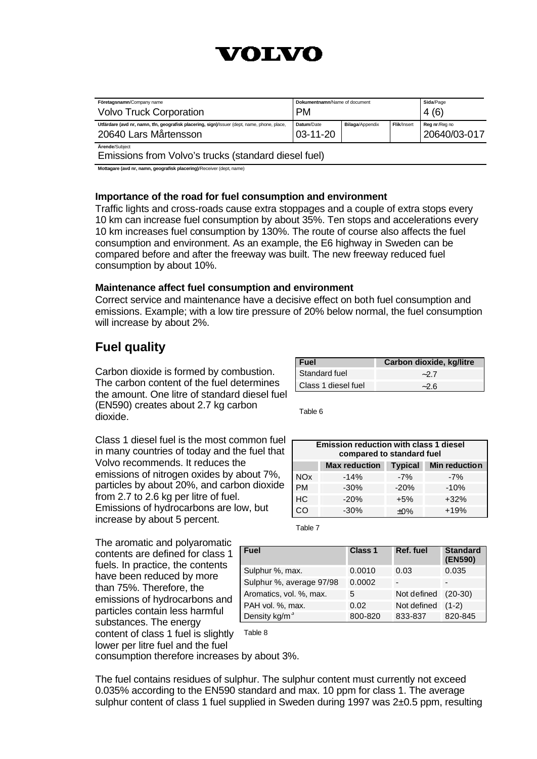

| Företagsnamn/Company name<br><b>Volvo Truck Corporation</b>                                                          | Dokumentnamn/Name of document<br><b>PM</b>                                             |  | Sida/Page<br>4(6) |  |
|----------------------------------------------------------------------------------------------------------------------|----------------------------------------------------------------------------------------|--|-------------------|--|
| Utfärdare (avd nr, namn, tfn, geografisk placering, sign)/Issuer (dept, name, phone, place,<br>20640 Lars Mårtensson | Flik/Insert<br><b>Bilaga/Appendix</b><br>Datum/Date<br>Reg nr/Reg no<br>$03 - 11 - 20$ |  | 20640/03-017      |  |
| Ärende/Subiect                                                                                                       |                                                                                        |  |                   |  |

Emissions from Volvo's trucks (standard diesel fuel)

**Mottagare (avd nr, namn, geografisk placering)**/Receiver (dept, name)

#### **Importance of the road for fuel consumption and environment**

Traffic lights and cross-roads cause extra stoppages and a couple of extra stops every 10 km can increase fuel consumption by about 35%. Ten stops and accelerations every 10 km increases fuel consumption by 130%. The route of course also affects the fuel consumption and environment. As an example, the E6 highway in Sweden can be compared before and after the freeway was built. The new freeway reduced fuel consumption by about 10%.

#### **Maintenance affect fuel consumption and environment**

Correct service and maintenance have a decisive effect on both fuel consumption and emissions. Example; with a low tire pressure of 20% below normal, the fuel consumption will increase by about 2%.

# **Fuel quality**

Carbon dioxide is formed by combustion. The carbon content of the fuel determines the amount. One litre of standard diesel fuel (EN590) creates about 2.7 kg carbon dioxide.

| l Fuel               | Carbon dioxide, kg/litre |
|----------------------|--------------------------|
| <b>Standard fuel</b> | $-27$                    |
| Class 1 diesel fuel  | $-2.6$                   |

Table 6

Class 1 diesel fuel is the most common fuel in many countries of today and the fuel that Volvo recommends. It reduces the emissions of nitrogen oxides by about 7%, particles by about 20%, and carbon dioxide from 2.7 to 2.6 kg per litre of fuel. Emissions of hydrocarbons are low, but increase by about 5 percent.

| <b>Emission reduction with class 1 diesel</b><br>compared to standard fuel |                                     |        |        |  |
|----------------------------------------------------------------------------|-------------------------------------|--------|--------|--|
|                                                                            | Max reduction Typical Min reduction |        |        |  |
| <b>NO<sub>x</sub></b>                                                      | $-14%$                              | $-7%$  | $-7%$  |  |
| <b>PM</b>                                                                  | $-30%$                              | $-20%$ | $-10%$ |  |
| HC                                                                         | $-20%$                              | $+5%$  | $+32%$ |  |
|                                                                            | $-30%$                              | ±0%    | $+19%$ |  |

Table 7

| <b>Fuel</b>               | <b>Class 1</b> | Ref. fuel   | <b>Standard</b><br>(EN590) |
|---------------------------|----------------|-------------|----------------------------|
| Sulphur %, max.           | 0.0010         | 0.03        | 0.035                      |
| Sulphur %, average 97/98  | 0.0002         |             | -                          |
| Aromatics, vol. %, max.   | 5              | Not defined | $(20-30)$                  |
| PAH vol. %, max.          | 0.02           | Not defined | $(1-2)$                    |
| Density kg/m <sup>3</sup> | 800-820        | 833-837     | 820-845                    |

The aromatic and polyaromatic contents are defined for class 1 fuels. In practice, the contents have been reduced by more than 75%. Therefore, the emissions of hydrocarbons and particles contain less harmful substances. The energy content of class 1 fuel is slightly Table 8 lower per litre fuel and the fuel

consumption therefore increases by about 3%.

The fuel contains residues of sulphur. The sulphur content must currently not exceed 0.035% according to the EN590 standard and max. 10 ppm for class 1. The average sulphur content of class 1 fuel supplied in Sweden during 1997 was 2±0.5 ppm, resulting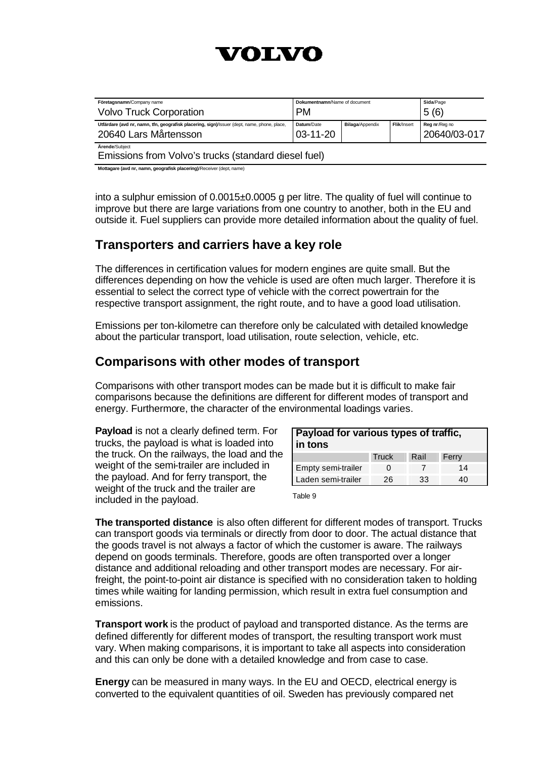

| Företagsnamn/Company name<br><b>Volvo Truck Corporation</b>                                                          | Dokumentnamn/Name of document<br><b>PM</b> |                        |             | Sida/Page<br>5(6)             |
|----------------------------------------------------------------------------------------------------------------------|--------------------------------------------|------------------------|-------------|-------------------------------|
| Utfärdare (avd nr, namn, tfn, geografisk placering, sign)/Issuer (dept, name, phone, place,<br>20640 Lars Mårtensson | Datum/Date<br>$03 - 11 - 20$               | <b>Bilaga/Appendix</b> | Flik/Insert | Reg nr/Reg no<br>20640/03-017 |
| Ärende/Subiect<br>Emissions from Volvo's trucks (standard diesel fuel)                                               |                                            |                        |             |                               |

**Mottagare (avd nr, namn, geografisk placering)**/Receiver (dept, name)

into a sulphur emission of 0.0015±0.0005 g per litre. The quality of fuel will continue to improve but there are large variations from one country to another, both in the EU and outside it. Fuel suppliers can provide more detailed information about the quality of fuel.

### **Transporters and carriers have a key role**

The differences in certification values for modern engines are quite small. But the differences depending on how the vehicle is used are often much larger. Therefore it is essential to select the correct type of vehicle with the correct powertrain for the respective transport assignment, the right route, and to have a good load utilisation.

Emissions per ton-kilometre can therefore only be calculated with detailed knowledge about the particular transport, load utilisation, route selection, vehicle, etc.

### **Comparisons with other modes of transport**

Comparisons with other transport modes can be made but it is difficult to make fair comparisons because the definitions are different for different modes of transport and energy. Furthermore, the character of the environmental loadings varies.

**Payload** is not a clearly defined term. For trucks, the payload is what is loaded into the truck. On the railways, the load and the weight of the semi-trailer are included in the payload. And for ferry transport, the weight of the truck and the trailer are included in the payload.

| Payload for various types of traffic,<br>in tons |       |      |       |  |
|--------------------------------------------------|-------|------|-------|--|
|                                                  | Truck | Rail | Ferry |  |
| Empty semi-trailer                               |       |      | 14    |  |
| Laden semi-trailer                               | 26    | 33   | 40    |  |

Table 9

**The transported distance** is also often different for different modes of transport. Trucks can transport goods via terminals or directly from door to door. The actual distance that the goods travel is not always a factor of which the customer is aware. The railways depend on goods terminals. Therefore, goods are often transported over a longer distance and additional reloading and other transport modes are necessary. For airfreight, the point-to-point air distance is specified with no consideration taken to holding times while waiting for landing permission, which result in extra fuel consumption and emissions.

**Transport work** is the product of payload and transported distance. As the terms are defined differently for different modes of transport, the resulting transport work must vary. When making comparisons, it is important to take all aspects into consideration and this can only be done with a detailed knowledge and from case to case.

**Energy** can be measured in many ways. In the EU and OECD, electrical energy is converted to the equivalent quantities of oil. Sweden has previously compared net